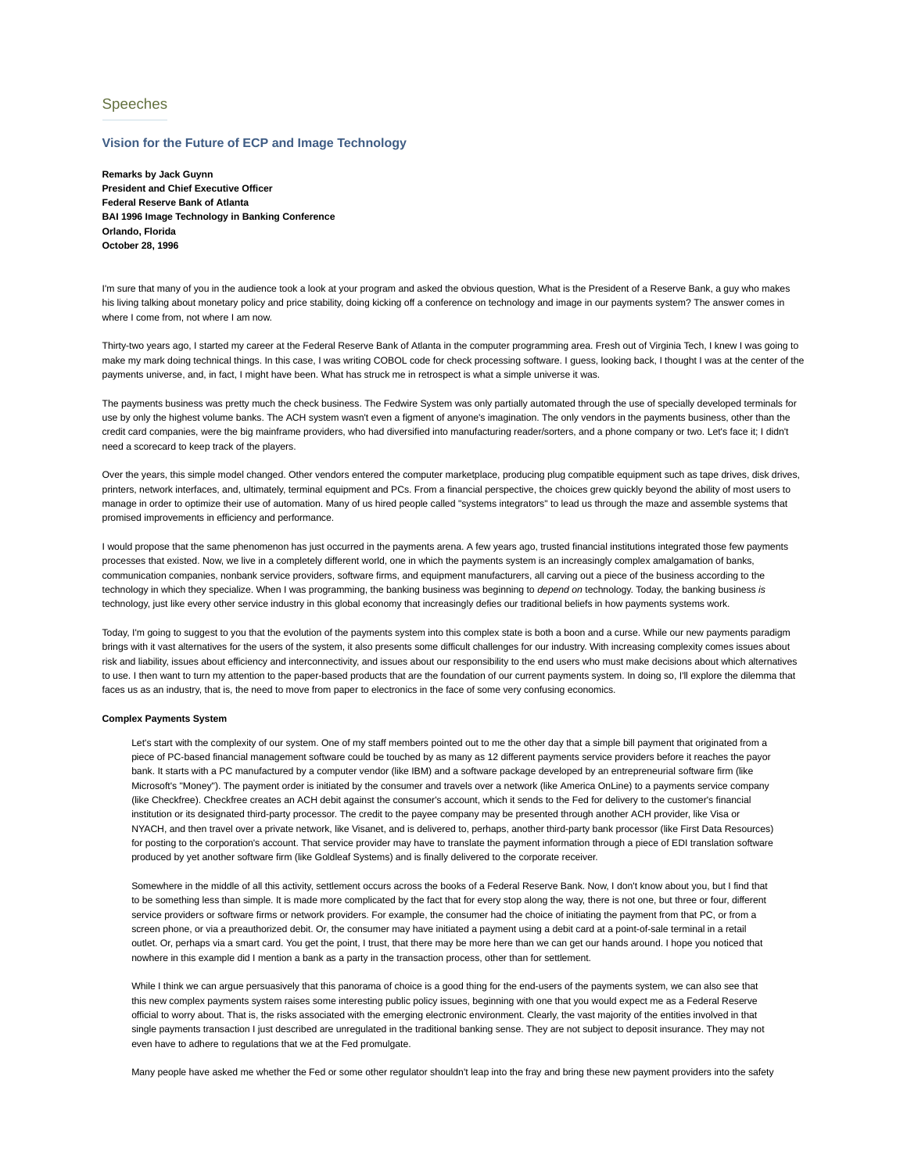# Speeches

# **Vision for the Future of ECP and Image Technology**

**Remarks by Jack Guynn President and Chief Executive Officer Federal Reserve Bank of Atlanta BAI 1996 Image Technology in Banking Conference Orlando, Florida October 28, 1996**

I'm sure that many of you in the audience took a look at your program and asked the obvious question, What is the President of a Reserve Bank, a guy who makes his living talking about monetary policy and price stability, doing kicking off a conference on technology and image in our payments system? The answer comes in where I come from, not where I am now.

Thirty-two years ago, I started my career at the Federal Reserve Bank of Atlanta in the computer programming area. Fresh out of Virginia Tech, I knew I was going to make my mark doing technical things. In this case, I was writing COBOL code for check processing software. I guess, looking back, I thought I was at the center of the payments universe, and, in fact, I might have been. What has struck me in retrospect is what a simple universe it was.

The payments business was pretty much the check business. The Fedwire System was only partially automated through the use of specially developed terminals for use by only the highest volume banks. The ACH system wasn't even a figment of anyone's imagination. The only vendors in the payments business, other than the credit card companies, were the big mainframe providers, who had diversified into manufacturing reader/sorters, and a phone company or two. Let's face it; I didn't need a scorecard to keep track of the players.

Over the years, this simple model changed. Other vendors entered the computer marketplace, producing plug compatible equipment such as tape drives, disk drives, printers, network interfaces, and, ultimately, terminal equipment and PCs. From a financial perspective, the choices grew quickly beyond the ability of most users to manage in order to optimize their use of automation. Many of us hired people called "systems integrators" to lead us through the maze and assemble systems that promised improvements in efficiency and performance.

I would propose that the same phenomenon has just occurred in the payments arena. A few years ago, trusted financial institutions integrated those few payments processes that existed. Now, we live in a completely different world, one in which the payments system is an increasingly complex amalgamation of banks, communication companies, nonbank service providers, software firms, and equipment manufacturers, all carving out a piece of the business according to the technology in which they specialize. When I was programming, the banking business was beginning to *depend on* technology. Today, the banking business *is* technology, just like every other service industry in this global economy that increasingly defies our traditional beliefs in how payments systems work.

Today, I'm going to suggest to you that the evolution of the payments system into this complex state is both a boon and a curse. While our new payments paradigm brings with it vast alternatives for the users of the system, it also presents some difficult challenges for our industry. With increasing complexity comes issues about risk and liability, issues about efficiency and interconnectivity, and issues about our responsibility to the end users who must make decisions about which alternatives to use. I then want to turn my attention to the paper-based products that are the foundation of our current payments system. In doing so, I'll explore the dilemma that faces us as an industry, that is, the need to move from paper to electronics in the face of some very confusing economics.

#### **Complex Payments System**

Let's start with the complexity of our system. One of my staff members pointed out to me the other day that a simple bill payment that originated from a piece of PC-based financial management software could be touched by as many as 12 different payments service providers before it reaches the payor bank. It starts with a PC manufactured by a computer vendor (like IBM) and a software package developed by an entrepreneurial software firm (like Microsoft's "Money"). The payment order is initiated by the consumer and travels over a network (like America OnLine) to a payments service company (like Checkfree). Checkfree creates an ACH debit against the consumer's account, which it sends to the Fed for delivery to the customer's financial institution or its designated third-party processor. The credit to the payee company may be presented through another ACH provider, like Visa or NYACH, and then travel over a private network, like Visanet, and is delivered to, perhaps, another third-party bank processor (like First Data Resources) for posting to the corporation's account. That service provider may have to translate the payment information through a piece of EDI translation software produced by yet another software firm (like Goldleaf Systems) and is finally delivered to the corporate receiver.

Somewhere in the middle of all this activity, settlement occurs across the books of a Federal Reserve Bank. Now, I don't know about you, but I find that to be something less than simple. It is made more complicated by the fact that for every stop along the way, there is not one, but three or four, different service providers or software firms or network providers. For example, the consumer had the choice of initiating the payment from that PC, or from a screen phone, or via a preauthorized debit. Or, the consumer may have initiated a payment using a debit card at a point-of-sale terminal in a retail outlet. Or, perhaps via a smart card. You get the point, I trust, that there may be more here than we can get our hands around. I hope you noticed that nowhere in this example did I mention a bank as a party in the transaction process, other than for settlement.

While I think we can argue persuasively that this panorama of choice is a good thing for the end-users of the payments system, we can also see that this new complex payments system raises some interesting public policy issues, beginning with one that you would expect me as a Federal Reserve official to worry about. That is, the risks associated with the emerging electronic environment. Clearly, the vast majority of the entities involved in that single payments transaction I just described are unregulated in the traditional banking sense. They are not subject to deposit insurance. They may not even have to adhere to regulations that we at the Fed promulgate.

Many people have asked me whether the Fed or some other regulator shouldn't leap into the fray and bring these new payment providers into the safety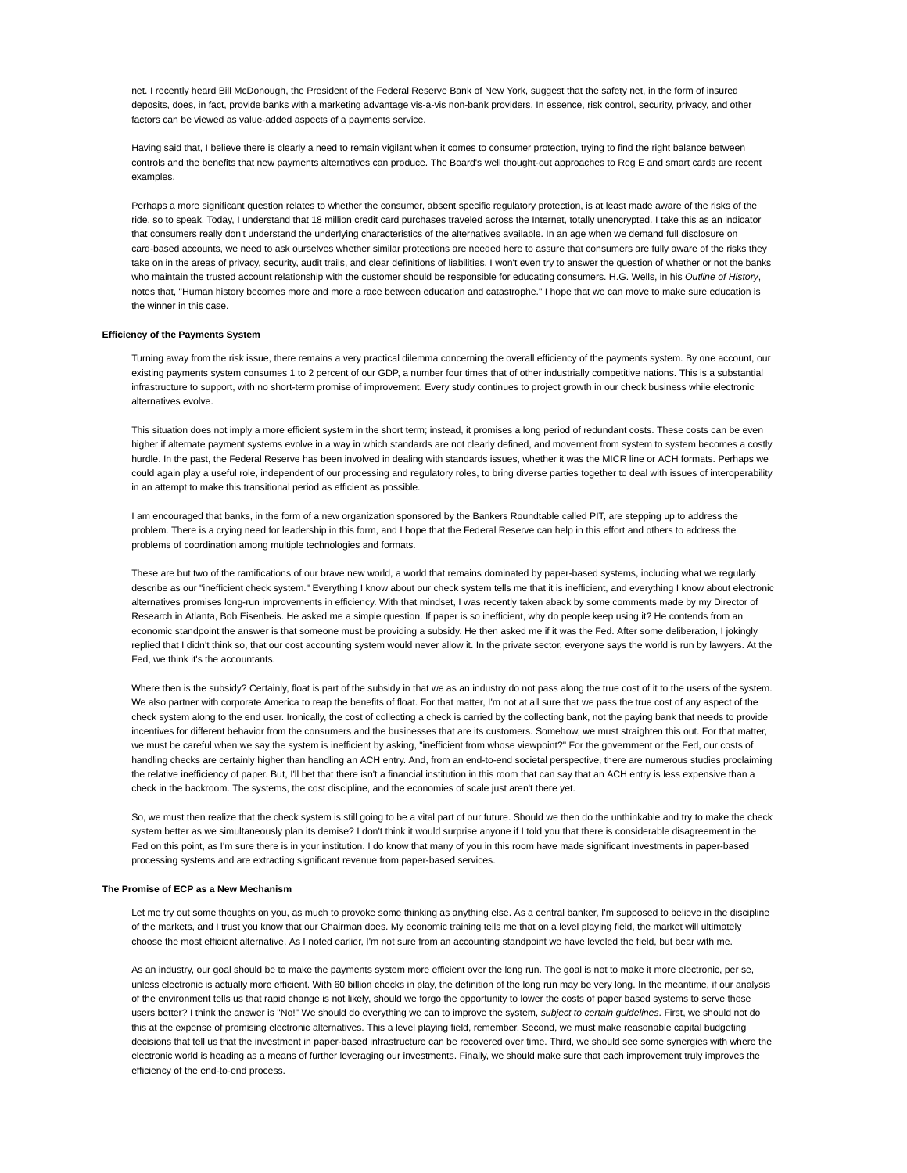net. I recently heard Bill McDonough, the President of the Federal Reserve Bank of New York, suggest that the safety net, in the form of insured deposits, does, in fact, provide banks with a marketing advantage vis-a-vis non-bank providers. In essence, risk control, security, privacy, and other factors can be viewed as value-added aspects of a payments service.

Having said that, I believe there is clearly a need to remain vigilant when it comes to consumer protection, trying to find the right balance between controls and the benefits that new payments alternatives can produce. The Board's well thought-out approaches to Reg E and smart cards are recent examples

Perhaps a more significant question relates to whether the consumer, absent specific regulatory protection, is at least made aware of the risks of the ride, so to speak. Today, I understand that 18 million credit card purchases traveled across the Internet, totally unencrypted. I take this as an indicator that consumers really don't understand the underlying characteristics of the alternatives available. In an age when we demand full disclosure on card-based accounts, we need to ask ourselves whether similar protections are needed here to assure that consumers are fully aware of the risks they take on in the areas of privacy, security, audit trails, and clear definitions of liabilities. I won't even try to answer the question of whether or not the banks who maintain the trusted account relationship with the customer should be responsible for educating consumers. H.G. Wells, in his *Outline of History*, notes that, "Human history becomes more and more a race between education and catastrophe." I hope that we can move to make sure education is the winner in this case.

#### **Efficiency of the Payments System**

Turning away from the risk issue, there remains a very practical dilemma concerning the overall efficiency of the payments system. By one account, our existing payments system consumes 1 to 2 percent of our GDP, a number four times that of other industrially competitive nations. This is a substantial infrastructure to support, with no short-term promise of improvement. Every study continues to project growth in our check business while electronic alternatives evolve.

This situation does not imply a more efficient system in the short term; instead, it promises a long period of redundant costs. These costs can be even higher if alternate payment systems evolve in a way in which standards are not clearly defined, and movement from system to system becomes a costly hurdle. In the past, the Federal Reserve has been involved in dealing with standards issues, whether it was the MICR line or ACH formats. Perhaps we could again play a useful role, independent of our processing and regulatory roles, to bring diverse parties together to deal with issues of interoperability in an attempt to make this transitional period as efficient as possible.

I am encouraged that banks, in the form of a new organization sponsored by the Bankers Roundtable called PIT, are stepping up to address the problem. There is a crying need for leadership in this form, and I hope that the Federal Reserve can help in this effort and others to address the problems of coordination among multiple technologies and formats.

These are but two of the ramifications of our brave new world, a world that remains dominated by paper-based systems, including what we regularly describe as our "inefficient check system." Everything I know about our check system tells me that it is inefficient, and everything I know about electronic alternatives promises long-run improvements in efficiency. With that mindset, I was recently taken aback by some comments made by my Director of Research in Atlanta, Bob Eisenbeis. He asked me a simple question. If paper is so inefficient, why do people keep using it? He contends from an economic standpoint the answer is that someone must be providing a subsidy. He then asked me if it was the Fed. After some deliberation, I jokingly replied that I didn't think so, that our cost accounting system would never allow it. In the private sector, everyone says the world is run by lawyers. At the Fed, we think it's the accountants.

Where then is the subsidy? Certainly, float is part of the subsidy in that we as an industry do not pass along the true cost of it to the users of the system. We also partner with corporate America to reap the benefits of float. For that matter, I'm not at all sure that we pass the true cost of any aspect of the check system along to the end user. Ironically, the cost of collecting a check is carried by the collecting bank, not the paying bank that needs to provide incentives for different behavior from the consumers and the businesses that are its customers. Somehow, we must straighten this out. For that matter, we must be careful when we say the system is inefficient by asking, "inefficient from whose viewpoint?" For the government or the Fed, our costs of handling checks are certainly higher than handling an ACH entry. And, from an end-to-end societal perspective, there are numerous studies proclaiming the relative inefficiency of paper. But, I'll bet that there isn't a financial institution in this room that can say that an ACH entry is less expensive than a check in the backroom. The systems, the cost discipline, and the economies of scale just aren't there yet.

So, we must then realize that the check system is still going to be a vital part of our future. Should we then do the unthinkable and try to make the check system better as we simultaneously plan its demise? I don't think it would surprise anyone if I told you that there is considerable disagreement in the Fed on this point, as I'm sure there is in your institution. I do know that many of you in this room have made significant investments in paper-based processing systems and are extracting significant revenue from paper-based services.

# **The Promise of ECP as a New Mechanism**

Let me try out some thoughts on you, as much to provoke some thinking as anything else. As a central banker, I'm supposed to believe in the discipline of the markets, and I trust you know that our Chairman does. My economic training tells me that on a level playing field, the market will ultimately choose the most efficient alternative. As I noted earlier, I'm not sure from an accounting standpoint we have leveled the field, but bear with me.

As an industry, our goal should be to make the payments system more efficient over the long run. The goal is not to make it more electronic, per se, unless electronic is actually more efficient. With 60 billion checks in play, the definition of the long run may be very long. In the meantime, if our analysis of the environment tells us that rapid change is not likely, should we forgo the opportunity to lower the costs of paper based systems to serve those users better? I think the answer is "No!" We should do everything we can to improve the system, *subject to certain guidelines*. First, we should not do this at the expense of promising electronic alternatives. This a level playing field, remember. Second, we must make reasonable capital budgeting decisions that tell us that the investment in paper-based infrastructure can be recovered over time. Third, we should see some synergies with where the electronic world is heading as a means of further leveraging our investments. Finally, we should make sure that each improvement truly improves the efficiency of the end-to-end process.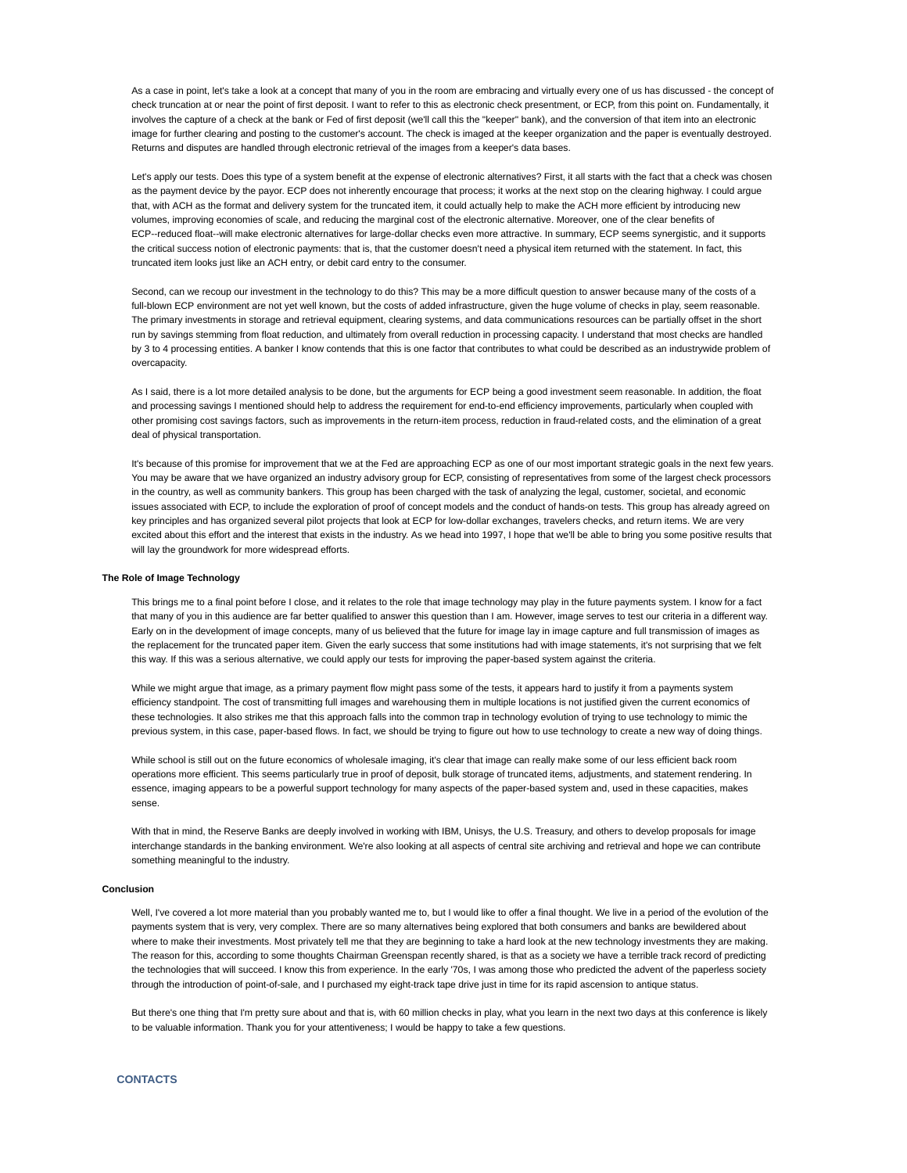As a case in point, let's take a look at a concept that many of you in the room are embracing and virtually every one of us has discussed - the concept of check truncation at or near the point of first deposit. I want to refer to this as electronic check presentment, or ECP, from this point on. Fundamentally, it involves the capture of a check at the bank or Fed of first deposit (we'll call this the "keeper" bank), and the conversion of that item into an electronic image for further clearing and posting to the customer's account. The check is imaged at the keeper organization and the paper is eventually destroyed. Returns and disputes are handled through electronic retrieval of the images from a keeper's data bases.

Let's apply our tests. Does this type of a system benefit at the expense of electronic alternatives? First, it all starts with the fact that a check was chosen as the payment device by the payor. ECP does not inherently encourage that process; it works at the next stop on the clearing highway. I could argue that, with ACH as the format and delivery system for the truncated item, it could actually help to make the ACH more efficient by introducing new volumes, improving economies of scale, and reducing the marginal cost of the electronic alternative. Moreover, one of the clear benefits of ECP--reduced float--will make electronic alternatives for large-dollar checks even more attractive. In summary, ECP seems synergistic, and it supports the critical success notion of electronic payments: that is, that the customer doesn't need a physical item returned with the statement. In fact, this truncated item looks just like an ACH entry, or debit card entry to the consumer.

Second, can we recoup our investment in the technology to do this? This may be a more difficult question to answer because many of the costs of a full-blown ECP environment are not yet well known, but the costs of added infrastructure, given the huge volume of checks in play, seem reasonable. The primary investments in storage and retrieval equipment, clearing systems, and data communications resources can be partially offset in the short run by savings stemming from float reduction, and ultimately from overall reduction in processing capacity. I understand that most checks are handled by 3 to 4 processing entities. A banker I know contends that this is one factor that contributes to what could be described as an industrywide problem of overcapacity.

As I said, there is a lot more detailed analysis to be done, but the arguments for ECP being a good investment seem reasonable. In addition, the float and processing savings I mentioned should help to address the requirement for end-to-end efficiency improvements, particularly when coupled with other promising cost savings factors, such as improvements in the return-item process, reduction in fraud-related costs, and the elimination of a great deal of physical transportation.

It's because of this promise for improvement that we at the Fed are approaching ECP as one of our most important strategic goals in the next few years. You may be aware that we have organized an industry advisory group for ECP, consisting of representatives from some of the largest check processors in the country, as well as community bankers. This group has been charged with the task of analyzing the legal, customer, societal, and economic issues associated with ECP, to include the exploration of proof of concept models and the conduct of hands-on tests. This group has already agreed on key principles and has organized several pilot projects that look at ECP for low-dollar exchanges, travelers checks, and return items. We are very excited about this effort and the interest that exists in the industry. As we head into 1997, I hope that we'll be able to bring you some positive results that will lay the groundwork for more widespread efforts.

# **The Role of Image Technology**

This brings me to a final point before I close, and it relates to the role that image technology may play in the future payments system. I know for a fact that many of you in this audience are far better qualified to answer this question than I am. However, image serves to test our criteria in a different way. Early on in the development of image concepts, many of us believed that the future for image lay in image capture and full transmission of images as the replacement for the truncated paper item. Given the early success that some institutions had with image statements, it's not surprising that we felt this way. If this was a serious alternative, we could apply our tests for improving the paper-based system against the criteria.

While we might argue that image, as a primary payment flow might pass some of the tests, it appears hard to justify it from a payments system efficiency standpoint. The cost of transmitting full images and warehousing them in multiple locations is not justified given the current economics of these technologies. It also strikes me that this approach falls into the common trap in technology evolution of trying to use technology to mimic the previous system, in this case, paper-based flows. In fact, we should be trying to figure out how to use technology to create a new way of doing things.

While school is still out on the future economics of wholesale imaging, it's clear that image can really make some of our less efficient back room operations more efficient. This seems particularly true in proof of deposit, bulk storage of truncated items, adjustments, and statement rendering. In essence, imaging appears to be a powerful support technology for many aspects of the paper-based system and, used in these capacities, makes sense.

With that in mind, the Reserve Banks are deeply involved in working with IBM, Unisys, the U.S. Treasury, and others to develop proposals for image interchange standards in the banking environment. We're also looking at all aspects of central site archiving and retrieval and hope we can contribute something meaningful to the industry.

# **Conclusion**

Well, I've covered a lot more material than you probably wanted me to, but I would like to offer a final thought. We live in a period of the evolution of the payments system that is very, very complex. There are so many alternatives being explored that both consumers and banks are bewildered about where to make their investments. Most privately tell me that they are beginning to take a hard look at the new technology investments they are making. The reason for this, according to some thoughts Chairman Greenspan recently shared, is that as a society we have a terrible track record of predicting the technologies that will succeed. I know this from experience. In the early '70s, I was among those who predicted the advent of the paperless society through the introduction of point-of-sale, and I purchased my eight-track tape drive just in time for its rapid ascension to antique status.

But there's one thing that I'm pretty sure about and that is, with 60 million checks in play, what you learn in the next two days at this conference is likely to be valuable information. Thank you for your attentiveness; I would be happy to take a few questions.